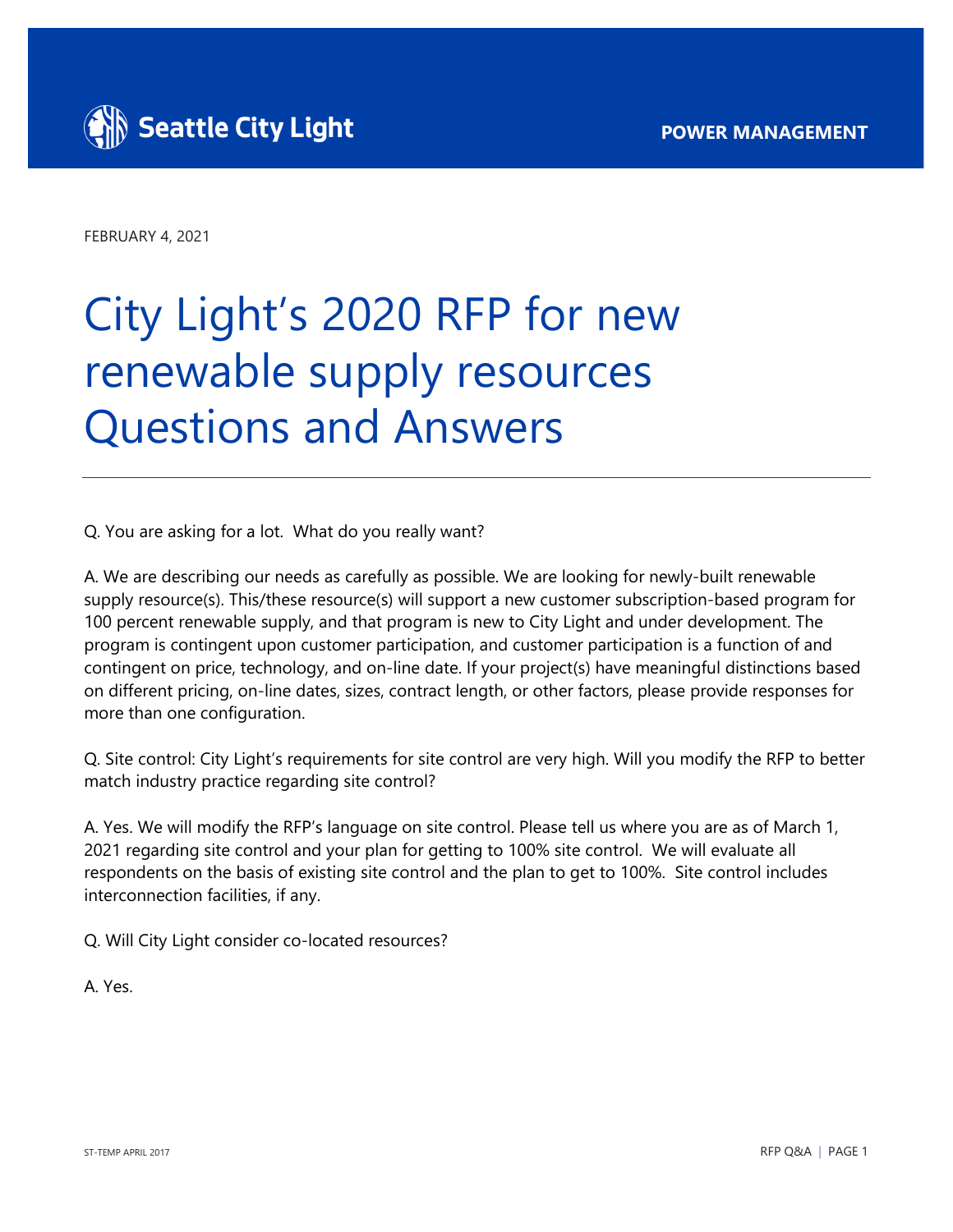

FEBRUARY 4, 2021

## City Light's 2020 RFP for new renewable supply resources Questions and Answers

Q. You are asking for a lot. What do you really want?

A. We are describing our needs as carefully as possible. We are looking for newly-built renewable supply resource(s). This/these resource(s) will support a new customer subscription-based program for 100 percent renewable supply, and that program is new to City Light and under development. The program is contingent upon customer participation, and customer participation is a function of and contingent on price, technology, and on-line date. If your project(s) have meaningful distinctions based on different pricing, on-line dates, sizes, contract length, or other factors, please provide responses for more than one configuration.

Q. Site control: City Light's requirements for site control are very high. Will you modify the RFP to better match industry practice regarding site control?

A. Yes. We will modify the RFP's language on site control. Please tell us where you are as of March 1, 2021 regarding site control and your plan for getting to 100% site control. We will evaluate all respondents on the basis of existing site control and the plan to get to 100%. Site control includes interconnection facilities, if any.

Q. Will City Light consider co-located resources?

A. Yes.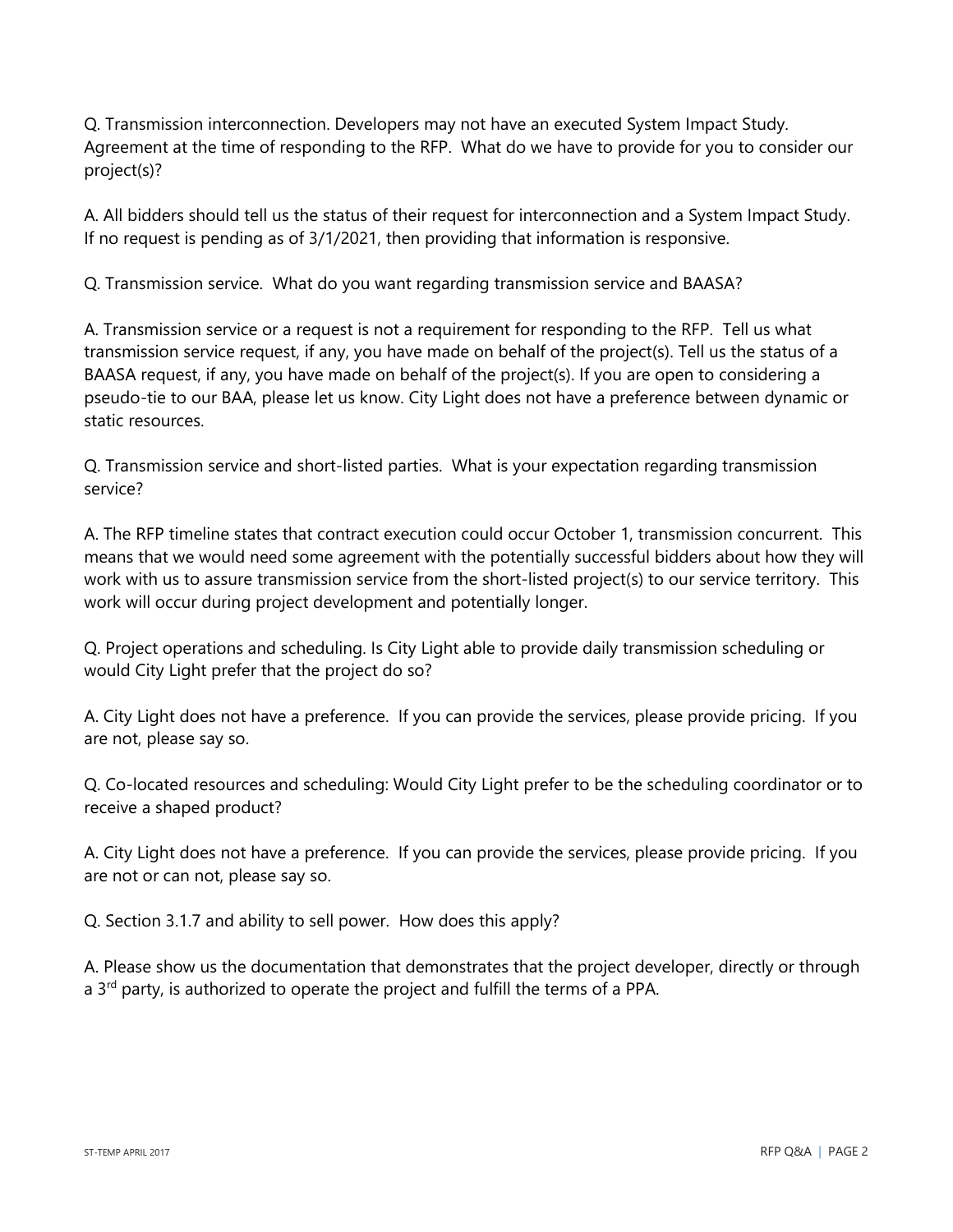Q. Transmission interconnection. Developers may not have an executed System Impact Study. Agreement at the time of responding to the RFP. What do we have to provide for you to consider our project(s)?

A. All bidders should tell us the status of their request for interconnection and a System Impact Study. If no request is pending as of 3/1/2021, then providing that information is responsive.

Q. Transmission service. What do you want regarding transmission service and BAASA?

A. Transmission service or a request is not a requirement for responding to the RFP. Tell us what transmission service request, if any, you have made on behalf of the project(s). Tell us the status of a BAASA request, if any, you have made on behalf of the project(s). If you are open to considering a pseudo-tie to our BAA, please let us know. City Light does not have a preference between dynamic or static resources.

Q. Transmission service and short-listed parties. What is your expectation regarding transmission service?

A. The RFP timeline states that contract execution could occur October 1, transmission concurrent. This means that we would need some agreement with the potentially successful bidders about how they will work with us to assure transmission service from the short-listed project(s) to our service territory. This work will occur during project development and potentially longer.

Q. Project operations and scheduling. Is City Light able to provide daily transmission scheduling or would City Light prefer that the project do so?

A. City Light does not have a preference. If you can provide the services, please provide pricing. If you are not, please say so.

Q. Co-located resources and scheduling: Would City Light prefer to be the scheduling coordinator or to receive a shaped product?

A. City Light does not have a preference. If you can provide the services, please provide pricing. If you are not or can not, please say so.

Q. Section 3.1.7 and ability to sell power. How does this apply?

A. Please show us the documentation that demonstrates that the project developer, directly or through a  $3<sup>rd</sup>$  party, is authorized to operate the project and fulfill the terms of a PPA.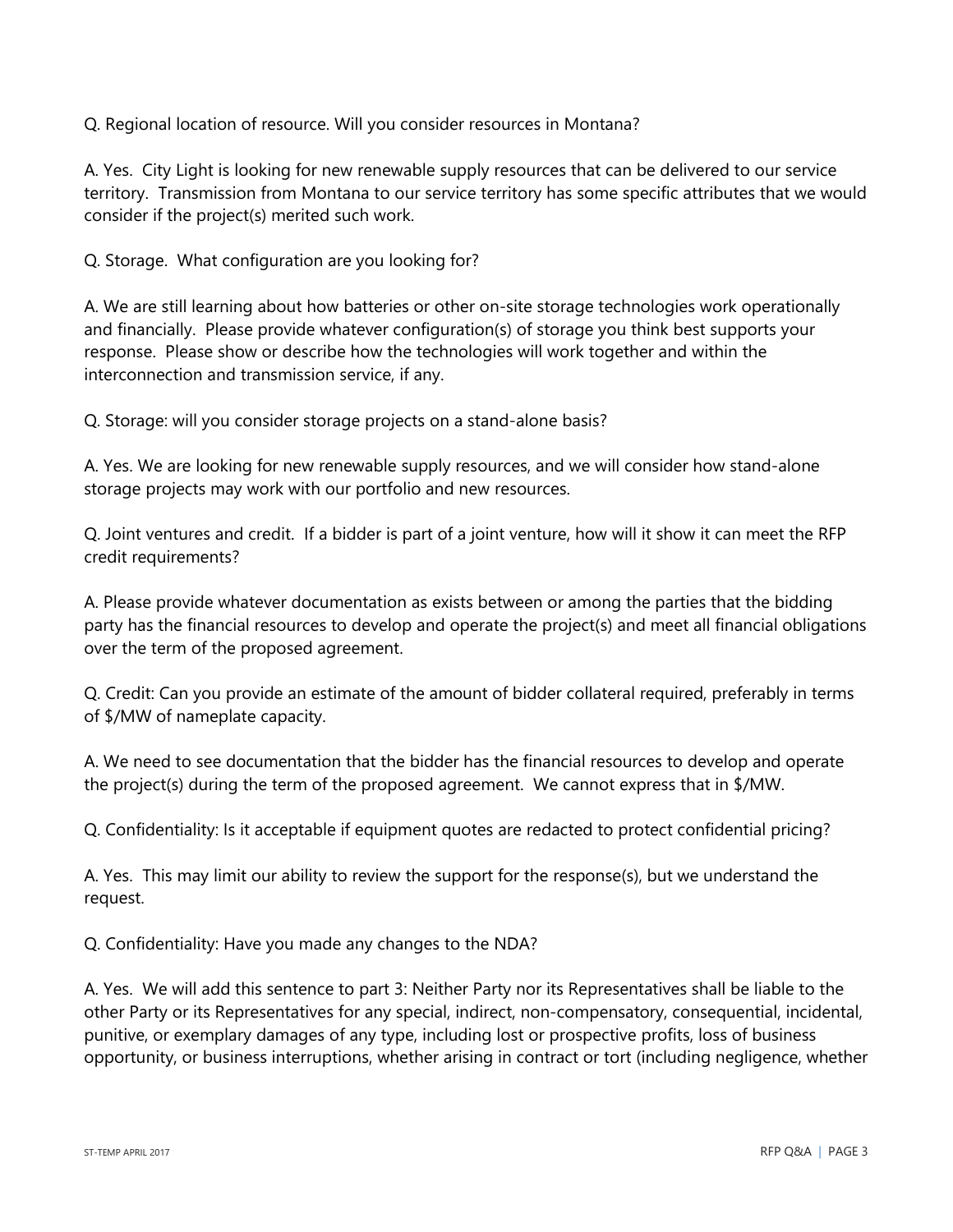Q. Regional location of resource. Will you consider resources in Montana?

A. Yes. City Light is looking for new renewable supply resources that can be delivered to our service territory. Transmission from Montana to our service territory has some specific attributes that we would consider if the project(s) merited such work.

Q. Storage. What configuration are you looking for?

A. We are still learning about how batteries or other on-site storage technologies work operationally and financially. Please provide whatever configuration(s) of storage you think best supports your response. Please show or describe how the technologies will work together and within the interconnection and transmission service, if any.

Q. Storage: will you consider storage projects on a stand-alone basis?

A. Yes. We are looking for new renewable supply resources, and we will consider how stand-alone storage projects may work with our portfolio and new resources.

Q. Joint ventures and credit. If a bidder is part of a joint venture, how will it show it can meet the RFP credit requirements?

A. Please provide whatever documentation as exists between or among the parties that the bidding party has the financial resources to develop and operate the project(s) and meet all financial obligations over the term of the proposed agreement.

Q. Credit: Can you provide an estimate of the amount of bidder collateral required, preferably in terms of \$/MW of nameplate capacity.

A. We need to see documentation that the bidder has the financial resources to develop and operate the project(s) during the term of the proposed agreement. We cannot express that in \$/MW.

Q. Confidentiality: Is it acceptable if equipment quotes are redacted to protect confidential pricing?

A. Yes. This may limit our ability to review the support for the response(s), but we understand the request.

Q. Confidentiality: Have you made any changes to the NDA?

A. Yes. We will add this sentence to part 3: Neither Party nor its Representatives shall be liable to the other Party or its Representatives for any special, indirect, non-compensatory, consequential, incidental, punitive, or exemplary damages of any type, including lost or prospective profits, loss of business opportunity, or business interruptions, whether arising in contract or tort (including negligence, whether